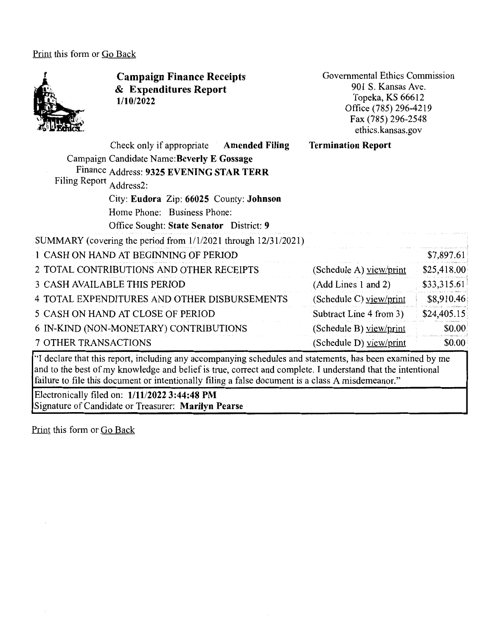Print this form or Go Back



and to the best of my knowledge and belief is true, correct and complete. I understand that the intentional failure to file this document or intentionally filing a false document is a class A misdemeanor."

Electronically filed on: **1/11/2022 3:44:48 PM**  Signature of Candidate or Treasurer: **Marilyn Pearse** 

Print this form or Go Back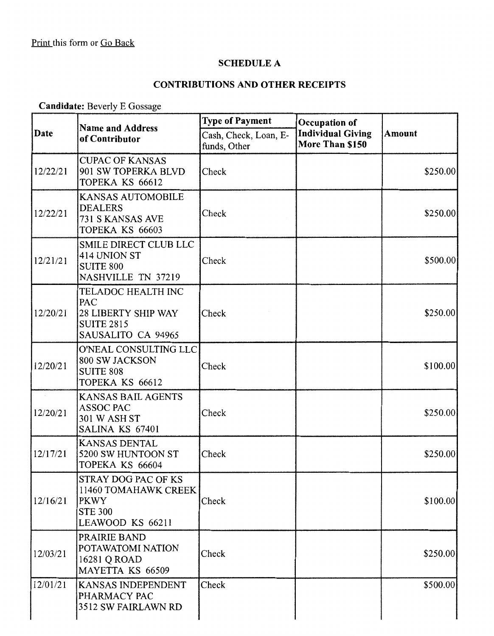### **SCHEDULE A**

## **CONTRIBUTIONS AND OTHER RECEIPTS**

**Candidate:** Beverly E Gossage

| Date     | <b>Name and Address</b><br>of Contributor                                                        | <b>Type of Payment</b>                | Occupation of                               |               |  |
|----------|--------------------------------------------------------------------------------------------------|---------------------------------------|---------------------------------------------|---------------|--|
|          |                                                                                                  | Cash, Check, Loan, E-<br>funds, Other | <b>Individual Giving</b><br>More Than \$150 | <b>Amount</b> |  |
| 12/22/21 | <b>CUPAC OF KANSAS</b><br>901 SW TOPERKA BLVD<br>TOPEKA KS 66612                                 | Check                                 |                                             | \$250.00      |  |
| 12/22/21 | KANSAS AUTOMOBILE<br><b>DEALERS</b><br>731 S KANSAS AVE<br>TOPEKA KS 66603                       | Check                                 |                                             | \$250.00      |  |
| 12/21/21 | SMILE DIRECT CLUB LLC<br>414 UNION ST<br><b>SUITE 800</b><br>NASHVILLE TN 37219                  | Check                                 |                                             | \$500.00      |  |
| 12/20/21 | TELADOC HEALTH INC<br>PAC<br>28 LIBERTY SHIP WAY<br><b>SUITE 2815</b><br>SAUSALITO CA 94965      | Check                                 |                                             | \$250.00]     |  |
| 12/20/21 | O'NEAL CONSULTING LLC<br>800 SW JACKSON<br><b>SUITE 808</b><br>TOPEKA KS 66612                   | Check                                 |                                             | \$100.00      |  |
| 12/20/21 | KANSAS BAIL AGENTS<br><b>ASSOC PAC</b><br>301 W ASH ST<br>SALINA KS 67401                        | Check                                 |                                             | \$250.00      |  |
| 12/17/21 | <b>KANSAS DENTAL</b><br>5200 SW HUNTOON ST<br>TOPEKA KS 66604                                    | Check                                 |                                             | \$250.00      |  |
| 12/16/21 | STRAY DOG PAC OF KS<br>11460 TOMAHAWK CREEK<br><b>PKWY</b><br><b>STE 300</b><br>LEAWOOD KS 66211 | Check                                 |                                             | \$100.00      |  |
| 12/03/21 | PRAIRIE BAND<br>POTAWATOMI NATION<br>16281 Q ROAD<br>MAYETTA KS 66509                            | Check                                 |                                             | \$250.00      |  |
| 12/01/21 | KANSAS INDEPENDENT<br>PHARMACY PAC<br>3512 SW FAIRLAWN RD                                        | Check                                 |                                             | \$500.00      |  |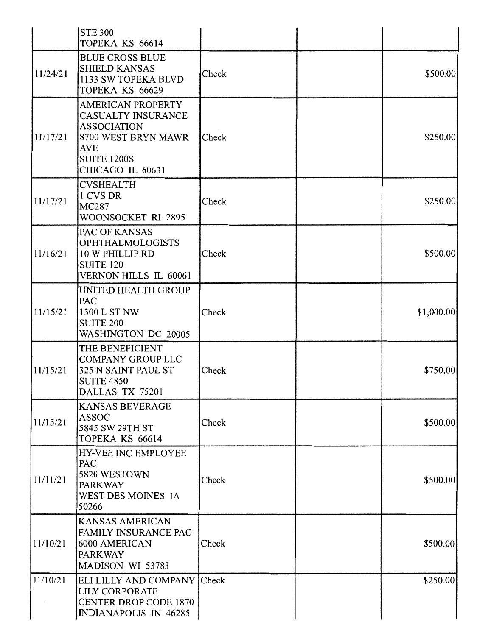|          | <b>STE 300</b><br>TOPEKA KS 66614                                                                                                                          |       |            |
|----------|------------------------------------------------------------------------------------------------------------------------------------------------------------|-------|------------|
| 11/24/21 | <b>BLUE CROSS BLUE</b><br><b>SHIELD KANSAS</b><br>1133 SW TOPEKA BLVD<br>TOPEKA KS 66629                                                                   | Check | \$500.00   |
| 11/17/21 | <b>AMERICAN PROPERTY</b><br><b>CASUALTY INSURANCE</b><br><b>ASSOCIATION</b><br>8700 WEST BRYN MAWR<br><b>AVE</b><br><b>SUITE 1200S</b><br>CHICAGO IL 60631 | Check | \$250.00   |
| 11/17/21 | <b>CVSHEALTH</b><br>1 CVS DR<br>MC287<br>WOONSOCKET RI 2895                                                                                                | Check | \$250.00   |
| 11/16/21 | PAC OF KANSAS<br><b>OPHTHALMOLOGISTS</b><br>10 W PHILLIP RD<br><b>SUITE 120</b><br>VERNON HILLS IL 60061                                                   | Check | \$500.00   |
| 11/15/21 | UNITED HEALTH GROUP<br>PAC<br>1300 L ST NW<br><b>SUITE 200</b><br>WASHINGTON DC 20005                                                                      | Check | \$1,000.00 |
| 11/15/21 | THE BENEFICIENT<br><b>COMPANY GROUP LLC</b><br>325 N SAINT PAUL ST<br><b>SUITE 4850</b><br>DALLAS TX 75201                                                 | Check | \$750.00   |
| 11/15/21 | KANSAS BEVERAGE<br><b>ASSOC</b><br>5845 SW 29TH ST<br>TOPEKA KS 66614                                                                                      | Check | \$500.00   |
| 11/11/21 | HY-VEE INC EMPLOYEE<br>PAC<br>5820 WESTOWN<br><b>PARKWAY</b><br>WEST DES MOINES IA<br>50266                                                                | Check | \$500.00   |
| 11/10/21 | <b>KANSAS AMERICAN</b><br><b>FAMILY INSURANCE PAC</b><br>6000 AMERICAN<br><b>PARKWAY</b><br>MADISON WI 53783                                               | Check | \$500.00]  |
| 11/10/21 | ELI LILLY AND COMPANY Check<br>LILY CORPORATE<br><b>CENTER DROP CODE 1870</b><br><b>INDIANAPOLIS IN 46285</b>                                              |       | \$250.00   |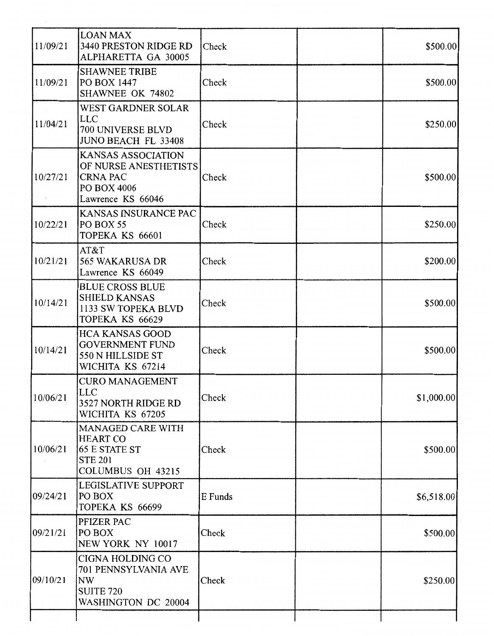| 11/09/21  | <b>LOAN MAX</b><br>3440 PRESTON RIDGE RD<br>ALPHARETTA GA 30005                                           | Check   | \$500.00    |
|-----------|-----------------------------------------------------------------------------------------------------------|---------|-------------|
| 11/09/21  | <b>SHAWNEE TRIBE</b><br>PO BOX 1447<br>SHAWNEE OK 74802                                                   | Check   | \$500.00    |
| 11/04/21  | WEST GARDNER SOLAR<br><b>LLC</b><br>700 UNIVERSE BLVD<br><b>JUNO BEACH FL 33408</b>                       | Check   | \$250.00    |
| 10/27/21  | <b>KANSAS ASSOCIATION</b><br>OF NURSE ANESTHETISTS<br><b>CRNA PAC</b><br>PO BOX 4006<br>Lawrence KS 66046 | Check   | \$500.00    |
| 10/22/21  | KANSAS INSURANCE PAC<br>PO BOX 55<br>TOPEKA KS 66601                                                      | Check   | \$250.00    |
| 10/21/21  | AT&T<br>565 WAKARUSA DR<br>Lawrence KS 66049                                                              | Check   | \$200.00]   |
| 10/14/21  | <b>BLUE CROSS BLUE</b><br><b>SHIELD KANSAS</b><br>1133 SW TOPEKA BLVD<br>TOPEKA KS 66629                  | Check   | \$500.00    |
| 10/14/21  | <b>HCA KANSAS GOOD</b><br><b>GOVERNMENT FUND</b><br>550 N HILLSIDE ST<br>WICHITA KS 67214                 | Check   | \$500.00    |
| 10/06/21  | <b>CURO MANAGEMENT</b><br><b>LLC</b><br>3527 NORTH RIDGE RD<br>WICHITA KS 67205                           | Check   | \$1,000.00] |
| 10/06/21  | MANAGED CARE WITH<br><b>HEART CO</b><br><b>65 E STATE ST</b><br><b>STE 201</b><br>COLUMBUS OH 43215       | Check   | \$500.00    |
| 09/24/21  | LEGISLATIVE SUPPORT<br>PO BOX<br>TOPEKA KS 66699                                                          | E Funds | \$6,518.00] |
| 109/21/21 | PFIZER PAC<br>PO BOX<br>NEW YORK NY 10017                                                                 | Check   | \$500.00    |
| 09/10/21  | CIGNA HOLDING CO<br>701 PENNSYLVANIA AVE<br><b>NW</b><br><b>SUITE 720</b><br>WASHINGTON DC 20004          | Check   | \$250.00]   |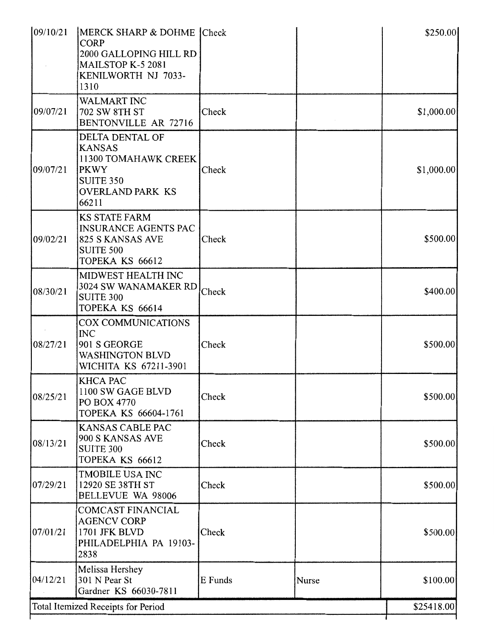| [09/10/21]                         | MERCK SHARP & DOHME Check<br><b>CORP</b><br>2000 GALLOPING HILL RD<br>MAILSTOP K-5 2081<br>KENILWORTH NJ 7033-<br>1310          |         |       | \$250.00   |
|------------------------------------|---------------------------------------------------------------------------------------------------------------------------------|---------|-------|------------|
| 09/07/21                           | <b>WALMART INC</b><br><b>702 SW 8TH ST</b><br>BENTONVILLE AR 72716                                                              | Check   |       | \$1,000.00 |
| 09/07/21                           | DELTA DENTAL OF<br><b>KANSAS</b><br>11300 TOMAHAWK CREEK<br><b>PKWY</b><br><b>SUITE 350</b><br><b>OVERLAND PARK KS</b><br>66211 | Check   |       | \$1,000.00 |
| 09/02/21                           | <b>KS STATE FARM</b><br><b>INSURANCE AGENTS PAC</b><br>825 S KANSAS AVE<br><b>SUITE 500</b><br>TOPEKA KS 66612                  | Check   |       | \$500.00   |
| 08/30/21                           | MIDWEST HEALTH INC<br>3024 SW WANAMAKER RD<br><b>SUITE 300</b><br>TOPEKA KS 66614                                               | Check   |       | \$400.00   |
| 08/27/21                           | COX COMMUNICATIONS<br><b>INC</b><br>901 S GEORGE<br><b>WASHINGTON BLVD</b><br>WICHITA KS 67211-3901                             | Check   |       | \$500.00   |
| 08/25/21                           | KHCA PAC<br>1100 SW GAGE BLVD<br>PO BOX 4770<br>TOPEKA KS 66604-1761                                                            | Check   |       | \$500.00   |
| 08/13/21                           | KANSAS CABLE PAC<br>900 S KANSAS AVE<br><b>SUITE 300</b><br>TOPEKA KS 66612                                                     | Check   |       | \$500.00   |
| 07/29/21                           | <b>TMOBILE USA INC</b><br>12920 SE 38TH ST<br>BELLEVUE WA 98006                                                                 | Check   |       | \$500.00   |
| 07/01/21                           | COMCAST FINANCIAL<br><b>AGENCV CORP</b><br>1701 JFK BLVD<br>PHILADELPHIA PA 19103-<br>2838                                      | Check   |       | \$500.00   |
| 04/12/21                           | Melissa Hershey<br>301 N Pear St<br>Gardner KS 66030-7811                                                                       | E Funds | Nurse | \$100.00   |
| Total Itemized Receipts for Period |                                                                                                                                 |         |       | \$25418.00 |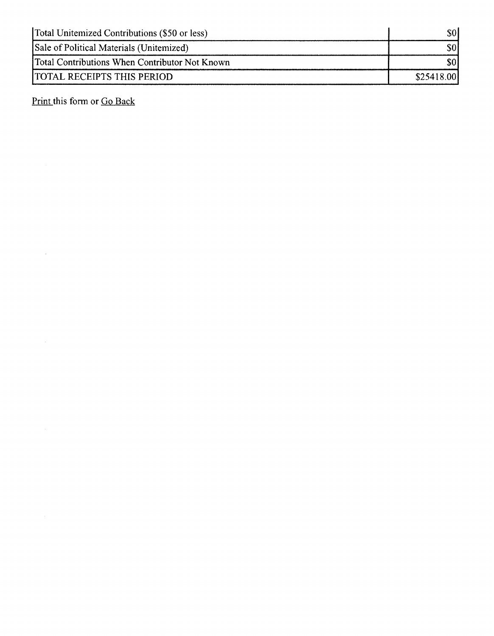| Total Unitemized Contributions (\$50 or less)  | \$01       |
|------------------------------------------------|------------|
| Sale of Political Materials (Unitemized)       | \$01       |
| Total Contributions When Contributor Not Known | SO I       |
| <b>TOTAL RECEIPTS THIS PERIOD</b>              | \$25418.00 |

Print this form or Go Back

 $\mathcal{L}(\mathcal{A})$  and  $\mathcal{L}(\mathcal{A})$  .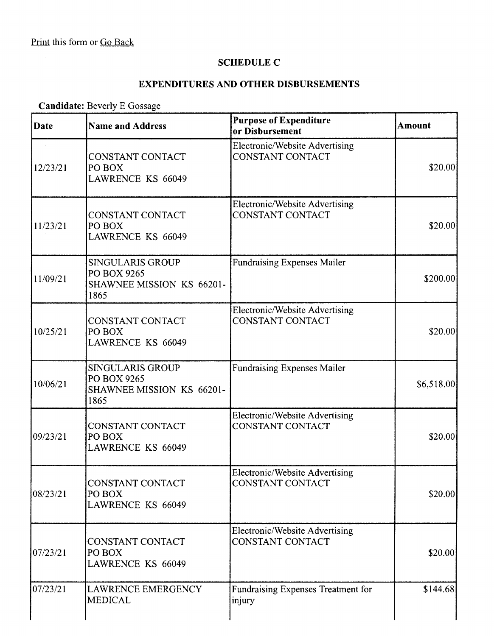$\sim$ 

#### **SCHEDULE C**

#### **EXPENDITURES AND OTHER DISBURSEMENTS**

# **Candidate:** Beverly E Gossage

| <b>Date</b> | <b>Name and Address</b>                                                     | <b>Purpose of Expenditure</b><br>or Disbursement          | <b>Amount</b> |
|-------------|-----------------------------------------------------------------------------|-----------------------------------------------------------|---------------|
| 12/23/21    | CONSTANT CONTACT<br>PO BOX<br><b>LAWRENCE KS 66049</b>                      | Electronic/Website Advertising<br>CONSTANT CONTACT        | \$20.00       |
| 11/23/21    | CONSTANT CONTACT<br>PO BOX<br><b>LAWRENCE KS 66049</b>                      | Electronic/Website Advertising<br>CONSTANT CONTACT        | \$20.00]      |
| 11/09/21    | <b>SINGULARIS GROUP</b><br>PO BOX 9265<br>SHAWNEE MISSION KS 66201-<br>1865 | <b>Fundraising Expenses Mailer</b>                        | \$200.00      |
| 10/25/21    | <b>CONSTANT CONTACT</b><br>PO BOX<br>LAWRENCE KS 66049                      | Electronic/Website Advertising<br>CONSTANT CONTACT        | \$20.00       |
| 10/06/21    | SINGULARIS GROUP<br>PO BOX 9265<br>SHAWNEE MISSION KS 66201-<br>1865        | Fundraising Expenses Mailer                               | \$6,518.00]   |
| 09/23/21    | CONSTANT CONTACT<br>PO BOX<br><b>LAWRENCE KS 66049</b>                      | Electronic/Website Advertising<br><b>CONSTANT CONTACT</b> | \$20,00]      |
| 08/23/21    | CONSTANT CONTACT<br>PO BOX<br><b>LAWRENCE KS 66049</b>                      | Electronic/Website Advertising<br>CONSTANT CONTACT        | \$20.00       |
| 107/23/21   | CONSTANT CONTACT<br>PO BOX<br><b>LAWRENCE KS 66049</b>                      | Electronic/Website Advertising<br><b>CONSTANT CONTACT</b> | \$20.00]      |
| 07/23/21    | LAWRENCE EMERGENCY<br><b>MEDICAL</b>                                        | Fundraising Expenses Treatment for<br>injury              | \$144.68      |